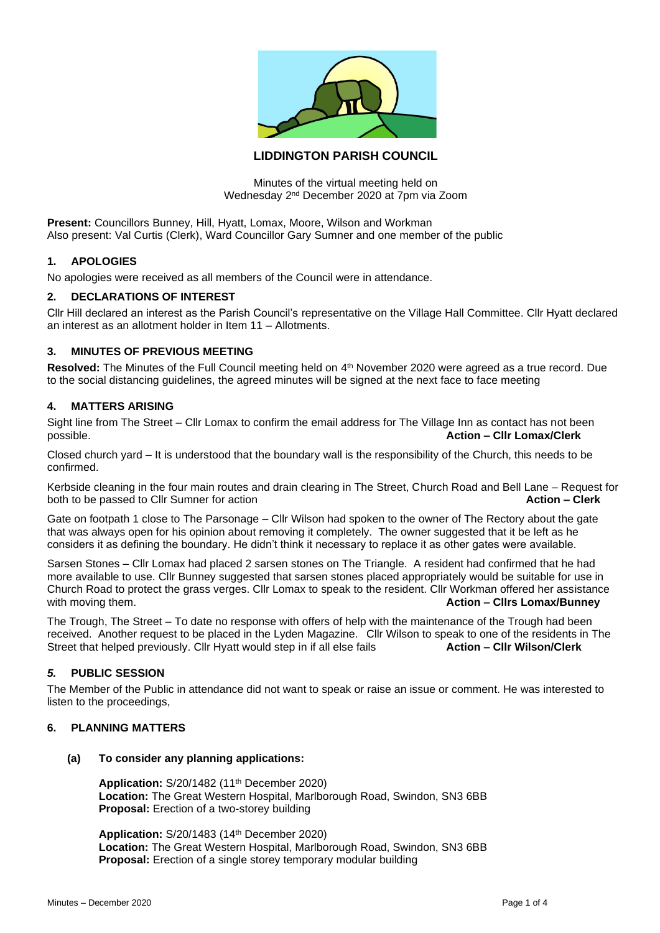

# **LIDDINGTON PARISH COUNCIL**

Minutes of the virtual meeting held on Wednesday 2nd December 2020 at 7pm via Zoom

**Present:** Councillors Bunney, Hill, Hyatt, Lomax, Moore, Wilson and Workman Also present: Val Curtis (Clerk), Ward Councillor Gary Sumner and one member of the public

## **1. APOLOGIES**

No apologies were received as all members of the Council were in attendance.

# **2. DECLARATIONS OF INTEREST**

Cllr Hill declared an interest as the Parish Council's representative on the Village Hall Committee. Cllr Hyatt declared an interest as an allotment holder in Item 11 – Allotments.

## **3. MINUTES OF PREVIOUS MEETING**

Resolved: The Minutes of the Full Council meeting held on 4<sup>th</sup> November 2020 were agreed as a true record. Due to the social distancing guidelines, the agreed minutes will be signed at the next face to face meeting

# **4. MATTERS ARISING**

Sight line from The Street – Cllr Lomax to confirm the email address for The Village Inn as contact has not been possible. **Action – Cllr Lomax/Clerk**

Closed church yard – It is understood that the boundary wall is the responsibility of the Church, this needs to be confirmed.

Kerbside cleaning in the four main routes and drain clearing in The Street, Church Road and Bell Lane – Request for both to be passed to Cllr Sumner for action **Action – Clerk**

Gate on footpath 1 close to The Parsonage – Cllr Wilson had spoken to the owner of The Rectory about the gate that was always open for his opinion about removing it completely. The owner suggested that it be left as he considers it as defining the boundary. He didn't think it necessary to replace it as other gates were available.

Sarsen Stones – Cllr Lomax had placed 2 sarsen stones on The Triangle. A resident had confirmed that he had more available to use. Cllr Bunney suggested that sarsen stones placed appropriately would be suitable for use in Church Road to protect the grass verges. Cllr Lomax to speak to the resident. Cllr Workman offered her assistance with moving them. **Action – Clirs Lomax/Bunney** with moving them.

The Trough, The Street – To date no response with offers of help with the maintenance of the Trough had been received. Another request to be placed in the Lyden Magazine. Cllr Wilson to speak to one of the residents in The Street that helped previously. Cllr Hyatt would step in if all else fails **Action – Cllr Wilson/Clerk**

## *5.* **PUBLIC SESSION**

The Member of the Public in attendance did not want to speak or raise an issue or comment. He was interested to listen to the proceedings,

## **6. PLANNING MATTERS**

## **(a) To consider any planning applications:**

**Application:** S/20/1482 (11th December 2020) **Location:** The Great Western Hospital, Marlborough Road, Swindon, SN3 6BB **Proposal:** Erection of a two-storey building

**Application:** S/20/1483 (14th December 2020) **Location:** The Great Western Hospital, Marlborough Road, Swindon, SN3 6BB **Proposal:** Erection of a single storey temporary modular building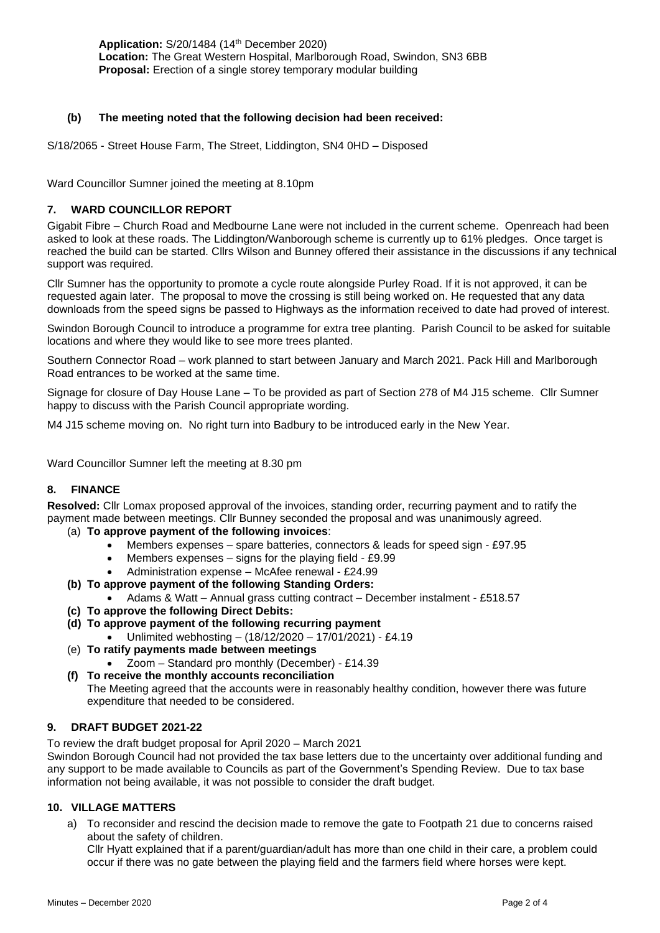# **(b) The meeting noted that the following decision had been received:**

S/18/2065 - Street House Farm, The Street, Liddington, SN4 0HD – Disposed

Ward Councillor Sumner joined the meeting at 8.10pm

# **7. WARD COUNCILLOR REPORT**

Gigabit Fibre – Church Road and Medbourne Lane were not included in the current scheme. Openreach had been asked to look at these roads. The Liddington/Wanborough scheme is currently up to 61% pledges. Once target is reached the build can be started. Cllrs Wilson and Bunney offered their assistance in the discussions if any technical support was required.

Cllr Sumner has the opportunity to promote a cycle route alongside Purley Road. If it is not approved, it can be requested again later. The proposal to move the crossing is still being worked on. He requested that any data downloads from the speed signs be passed to Highways as the information received to date had proved of interest.

Swindon Borough Council to introduce a programme for extra tree planting. Parish Council to be asked for suitable locations and where they would like to see more trees planted.

Southern Connector Road – work planned to start between January and March 2021. Pack Hill and Marlborough Road entrances to be worked at the same time.

Signage for closure of Day House Lane – To be provided as part of Section 278 of M4 J15 scheme. Cllr Sumner happy to discuss with the Parish Council appropriate wording.

M4 J15 scheme moving on. No right turn into Badbury to be introduced early in the New Year.

Ward Councillor Sumner left the meeting at 8.30 pm

# **8. FINANCE**

**Resolved:** Cllr Lomax proposed approval of the invoices, standing order, recurring payment and to ratify the payment made between meetings. Cllr Bunney seconded the proposal and was unanimously agreed.

- (a) **To approve payment of the following invoices**:
	- Members expenses spare batteries, connectors & leads for speed sign £97.95
	- Members expenses signs for the playing field £9.99
	- Administration expense McAfee renewal £24.99
- **(b) To approve payment of the following Standing Orders:**
	- Adams & Watt Annual grass cutting contract December instalment £518.57
- **(c) To approve the following Direct Debits:**
- **(d) To approve payment of the following recurring payment**
	- Unlimited webhosting (18/12/2020 17/01/2021) £4.19
- (e) **To ratify payments made between meetings** • Zoom – Standard pro monthly (December) - £14.39

expenditure that needed to be considered.

**(f) To receive the monthly accounts reconciliation** The Meeting agreed that the accounts were in reasonably healthy condition, however there was future

# **9. DRAFT BUDGET 2021-22**

To review the draft budget proposal for April 2020 – March 2021

Swindon Borough Council had not provided the tax base letters due to the uncertainty over additional funding and any support to be made available to Councils as part of the Government's Spending Review. Due to tax base information not being available, it was not possible to consider the draft budget.

## **10. VILLAGE MATTERS**

a) To reconsider and rescind the decision made to remove the gate to Footpath 21 due to concerns raised about the safety of children.

Cllr Hyatt explained that if a parent/guardian/adult has more than one child in their care, a problem could occur if there was no gate between the playing field and the farmers field where horses were kept.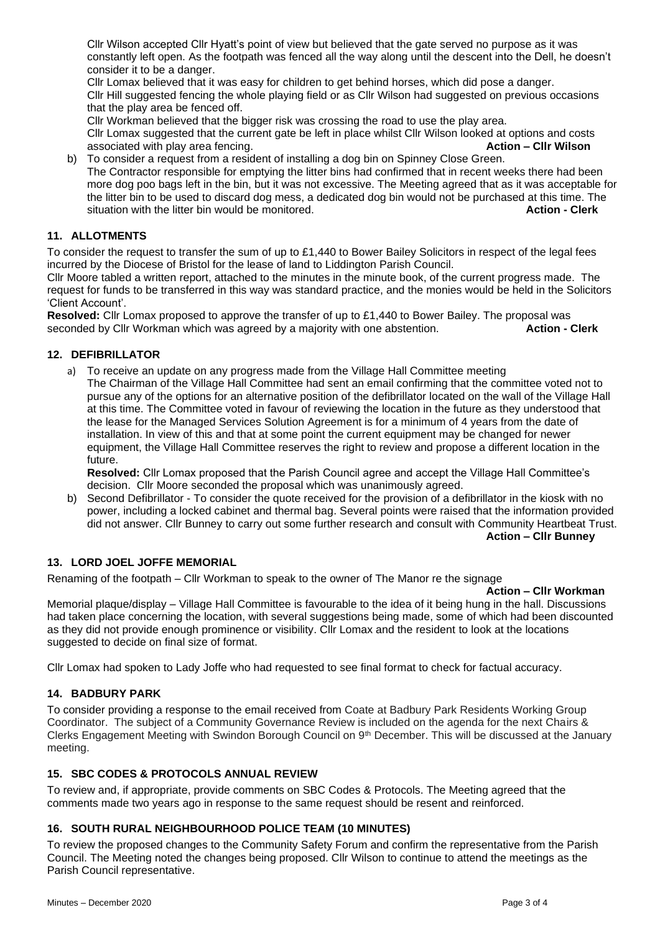Cllr Wilson accepted Cllr Hyatt's point of view but believed that the gate served no purpose as it was constantly left open. As the footpath was fenced all the way along until the descent into the Dell, he doesn't consider it to be a danger.

Cllr Lomax believed that it was easy for children to get behind horses, which did pose a danger. Cllr Hill suggested fencing the whole playing field or as Cllr Wilson had suggested on previous occasions that the play area be fenced off.

Cllr Workman believed that the bigger risk was crossing the road to use the play area.

Cllr Lomax suggested that the current gate be left in place whilst Cllr Wilson looked at options and costs associated with play area fencing. **Action – Cllr Wilson**

b) To consider a request from a resident of installing a dog bin on Spinney Close Green. The Contractor responsible for emptying the litter bins had confirmed that in recent weeks there had been more dog poo bags left in the bin, but it was not excessive. The Meeting agreed that as it was acceptable for the litter bin to be used to discard dog mess, a dedicated dog bin would not be purchased at this time. The situation with the litter bin would be monitored. **Action - Clerk**

# **11. ALLOTMENTS**

To consider the request to transfer the sum of up to  $£1,440$  to Bower Bailey Solicitors in respect of the legal fees incurred by the Diocese of Bristol for the lease of land to Liddington Parish Council.

Cllr Moore tabled a written report, attached to the minutes in the minute book, of the current progress made. The request for funds to be transferred in this way was standard practice, and the monies would be held in the Solicitors 'Client Account'.

**Resolved:** Cllr Lomax proposed to approve the transfer of up to £1,440 to Bower Bailey. The proposal was seconded by Cllr Workman which was agreed by a majority with one abstention. **Action - Clerk**

# **12. DEFIBRILLATOR**

a) To receive an update on any progress made from the Village Hall Committee meeting The Chairman of the Village Hall Committee had sent an email confirming that the committee voted not to pursue any of the options for an alternative position of the defibrillator located on the wall of the Village Hall at this time. The Committee voted in favour of reviewing the location in the future as they understood that the lease for the Managed Services Solution Agreement is for a minimum of 4 years from the date of installation. In view of this and that at some point the current equipment may be changed for newer equipment, the Village Hall Committee reserves the right to review and propose a different location in the future.

**Resolved:** Cllr Lomax proposed that the Parish Council agree and accept the Village Hall Committee's decision. Cllr Moore seconded the proposal which was unanimously agreed.

b) Second Defibrillator - To consider the quote received for the provision of a defibrillator in the kiosk with no power, including a locked cabinet and thermal bag. Several points were raised that the information provided did not answer. Cllr Bunney to carry out some further research and consult with Community Heartbeat Trust.

# **Action – Cllr Bunney**

# **13. LORD JOEL JOFFE MEMORIAL**

Renaming of the footpath – Cllr Workman to speak to the owner of The Manor re the signage

#### **Action – Cllr Workman**

Memorial plaque/display – Village Hall Committee is favourable to the idea of it being hung in the hall. Discussions had taken place concerning the location, with several suggestions being made, some of which had been discounted as they did not provide enough prominence or visibility. Cllr Lomax and the resident to look at the locations suggested to decide on final size of format.

Cllr Lomax had spoken to Lady Joffe who had requested to see final format to check for factual accuracy.

## **14. BADBURY PARK**

To consider providing a response to the email received from Coate at Badbury Park Residents Working Group Coordinator. The subject of a Community Governance Review is included on the agenda for the next Chairs & Clerks Engagement Meeting with Swindon Borough Council on 9th December. This will be discussed at the January meeting.

## **15. SBC CODES & PROTOCOLS ANNUAL REVIEW**

To review and, if appropriate, provide comments on SBC Codes & Protocols. The Meeting agreed that the comments made two years ago in response to the same request should be resent and reinforced.

# **16. SOUTH RURAL NEIGHBOURHOOD POLICE TEAM (10 MINUTES)**

To review the proposed changes to the Community Safety Forum and confirm the representative from the Parish Council. The Meeting noted the changes being proposed. Cllr Wilson to continue to attend the meetings as the Parish Council representative.